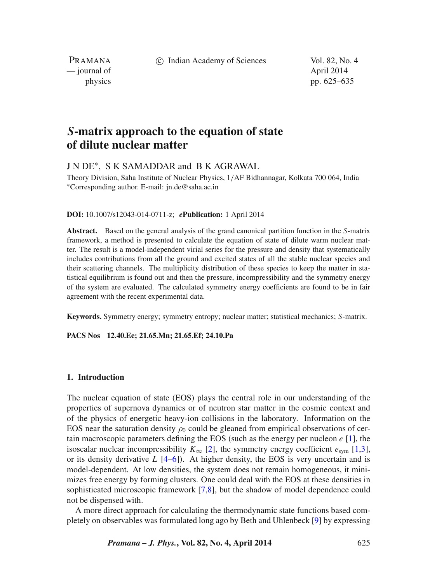c Indian Academy of Sciences Vol. 82, No. 4

PRAMANA — journal of April 2014

physics pp. 625–635

# *S***-matrix approach to the equation of state of dilute nuclear matter**

## J N DE∗, S K SAMADDAR and B K AGRAWAL

Theory Division, Saha Institute of Nuclear Physics, 1/AF Bidhannagar, Kolkata 700 064, India ∗Corresponding author. E-mail: jn.de@saha.ac.in

#### **DOI:** 10.1007/s12043-014-0711-z; *e***Publication:** 1 April 2014

**Abstract.** Based on the general analysis of the grand canonical partition function in the S-matrix framework, a method is presented to calculate the equation of state of dilute warm nuclear matter. The result is a model-independent virial series for the pressure and density that systematically includes contributions from all the ground and excited states of all the stable nuclear species and their scattering channels. The multiplicity distribution of these species to keep the matter in statistical equilibrium is found out and then the pressure, incompressibility and the symmetry energy of the system are evaluated. The calculated symmetry energy coefficients are found to be in fair agreement with the recent experimental data.

**Keywords.** Symmetry energy; symmetry entropy; nuclear matter; statistical mechanics; S-matrix.

#### **PACS Nos 12.40.Ee; 21.65.Mn; 21.65.Ef; 24.10.Pa**

### **1. Introduction**

The nuclear equation of state (EOS) plays the central role in our understanding of the properties of supernova dynamics or of neutron star matter in the cosmic context and of the physics of energetic heavy-ion collisions in the laboratory. Information on the EOS near the saturation density  $\rho_0$  could be gleaned from empirical observations of certain macroscopic parameters defining the EOS (such as the energy per nucleon  $e$  [\[1\]](#page-10-0), the isoscalar nuclear incompressibility  $K_{\infty}$  [\[2\]](#page-10-1), the symmetry energy coefficient  $e_{sym}$  [\[1,](#page-10-2)[3\]](#page-10-0), or its density derivative  $L$  [\[4](#page-10-3)[–6\]](#page-10-4)). At higher density, the EOS is very uncertain and is model-dependent. At low densities, the system does not remain homogeneous, it minimizes free energy by forming clusters. One could deal with the EOS at these densities in sophisticated microscopic framework [\[7](#page-10-5)[,8\]](#page-10-6), but the shadow of model dependence could not be dispensed with.

A more direct approach for calculating the thermodynamic state functions based completely on observables was formulated long ago by Beth and Uhlenbeck [\[9\]](#page-10-7) by expressing

*Pramana – J. Phys.***, Vol. 82, No. 4, April 2014** 625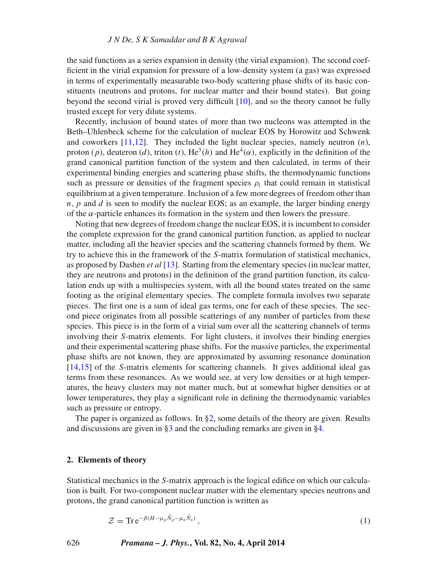#### *J N De, S K Samaddar and B K Agrawal*

the said functions as a series expansion in density (the virial expansion). The second coefficient in the virial expansion for pressure of a low-density system (a gas) was expressed in terms of experimentally measurable two-body scattering phase shifts of its basic constituents (neutrons and protons, for nuclear matter and their bound states). But going beyond the second virial is proved very difficult [\[10\]](#page-10-8), and so the theory cannot be fully trusted except for very dilute systems.

Recently, inclusion of bound states of more than two nucleons was attempted in the Beth–Uhlenbeck scheme for the calculation of nuclear EOS by Horowitz and Schwenk and coworkers  $[11,12]$  $[11,12]$ . They included the light nuclear species, namely neutron  $(n)$ , proton (p), deuteron (d), triton (t), He<sup>3</sup>(h) and He<sup>4</sup>( $\alpha$ ), explicitly in the definition of the grand canonical partition function of the system and then calculated, in terms of their experimental binding energies and scattering phase shifts, the thermodynamic functions such as pressure or densities of the fragment species  $\rho_i$  that could remain in statistical equilibrium at a given temperature. Inclusion of a few more degrees of freedom other than  $n, p$  and  $d$  is seen to modify the nuclear EOS; as an example, the larger binding energy of the  $\alpha$ -particle enhances its formation in the system and then lowers the pressure.

Noting that new degrees of freedom change the nuclear EOS, it is incumbent to consider the complete expression for the grand canonical partition function, as applied to nuclear matter, including all the heavier species and the scattering channels formed by them. We try to achieve this in the framework of the S-matrix formulation of statistical mechanics, as proposed by Dashen *et al* [\[13\]](#page-10-11). Starting from the elementary species (in nuclear matter, they are neutrons and protons) in the definition of the grand partition function, its calculation ends up with a multispecies system, with all the bound states treated on the same footing as the original elementary species. The complete formula involves two separate pieces. The first one is a sum of ideal gas terms, one for each of these species. The second piece originates from all possible scatterings of any number of particles from these species. This piece is in the form of a virial sum over all the scattering channels of terms involving their S-matrix elements. For light clusters, it involves their binding energies and their experimental scattering phase shifts. For the massive particles, the experimental phase shifts are not known, they are approximated by assuming resonance domination [\[14](#page-10-12)[,15\]](#page-10-13) of the S-matrix elements for scattering channels. It gives additional ideal gas terms from these resonances. As we would see, at very low densities or at high temperatures, the heavy clusters may not matter much, but at somewhat higher densities or at lower temperatures, they play a significant role in defining the thermodynamic variables such as pressure or entropy.

The paper is organized as follows. In  $\S2$ , some details of the theory are given. Results and discussions are given in [§3](#page-5-0) and the concluding remarks are given in [§4.](#page-9-0)

#### <span id="page-1-0"></span>**2. Elements of theory**

Statistical mechanics in the S-matrix approach is the logical edifice on which our calculation is built. For two-component nuclear matter with the elementary species neutrons and protons, the grand canonical partition function is written as

$$
\mathcal{Z} = \text{Tr} \, \mathrm{e}^{-\beta (H - \mu_p \hat{N}_p - \mu_n \hat{N}_n)},\tag{1}
$$

626 *Pramana – J. Phys.***, Vol. 82, No. 4, April 2014**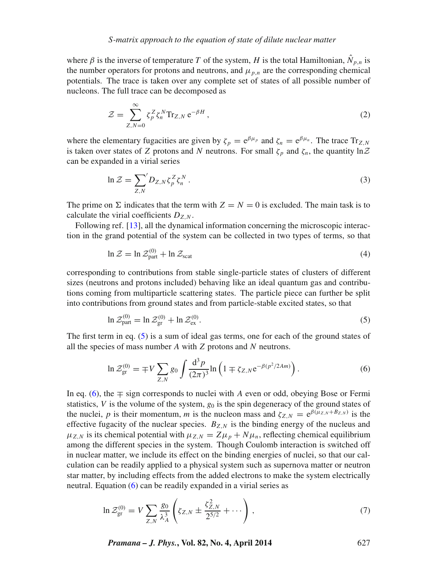where  $\beta$  is the inverse of temperature T of the system, H is the total Hamiltonian,  $\hat{N}_{p,n}$  is the number operators for protons and neutrons, and  $\mu_{p,n}$  are the corresponding chemical potentials. The trace is taken over any complete set of states of all possible number of nucleons. The full trace can be decomposed as

$$
\mathcal{Z} = \sum_{Z,N=0}^{\infty} \zeta_p^Z \zeta_n^N \text{Tr}_{Z,N} e^{-\beta H}, \qquad (2)
$$

where the elementary fugacities are given by  $\zeta_p = e^{\beta \mu_p}$  and  $\zeta_n = e^{\beta \mu_n}$ . The trace  $Tr_{Z,N}$ is taken over states of Z protons and N neutrons. For small  $\zeta_p$  and  $\zeta_n$ , the quantity  $\ln \mathcal{Z}$ can be expanded in a virial series

$$
\ln \mathcal{Z} = \sum_{Z,N} D_{Z,N} \zeta_p^Z \zeta_n^N. \tag{3}
$$

The prime on  $\Sigma$  indicates that the term with  $Z = N = 0$  is excluded. The main task is to calculate the virial coefficients  $D_{Z,N}$ .

<span id="page-2-2"></span>Following ref. [\[13\]](#page-10-11), all the dynamical information concerning the microscopic interaction in the grand potential of the system can be collected in two types of terms, so that

$$
\ln \mathcal{Z} = \ln \mathcal{Z}_{\text{part}}^{(0)} + \ln \mathcal{Z}_{\text{scat}} \tag{4}
$$

corresponding to contributions from stable single-particle states of clusters of different sizes (neutrons and protons included) behaving like an ideal quantum gas and contributions coming from multiparticle scattering states. The particle piece can further be split into contributions from ground states and from particle-stable excited states, so that

<span id="page-2-0"></span>
$$
\ln \mathcal{Z}_{\text{part}}^{(0)} = \ln \mathcal{Z}_{\text{gr}}^{(0)} + \ln \mathcal{Z}_{\text{ex}}^{(0)}.
$$
\n
$$
\tag{5}
$$

The first term in eq. [\(5\)](#page-2-0) is a sum of ideal gas terms, one for each of the ground states of all the species of mass number  $A$  with  $Z$  protons and  $N$  neutrons.

<span id="page-2-1"></span>
$$
\ln \mathcal{Z}_{\rm gr}^{(0)} = \mp V \sum_{Z,N} g_0 \int \frac{\mathrm{d}^3 p}{(2\pi)^3} \ln \left( 1 \mp \zeta_{Z,N} e^{-\beta (p^2/2Am)} \right). \tag{6}
$$

In eq. [\(6\)](#page-2-1), the  $\mp$  sign corresponds to nuclei with A even or odd, obeying Bose or Fermi statistics, V is the volume of the system,  $g_0$  is the spin degeneracy of the ground states of the nuclei, p is their momentum, m is the nucleon mass and  $\zeta_{Z,N} = e^{\beta(\mu_{Z,N}+B_{Z,N})}$  is the effective fugacity of the nuclear species.  $B_{Z,N}$  is the binding energy of the nucleus and  $\mu_{Z,N}$  is its chemical potential with  $\mu_{Z,N} = Z\mu_p + N\mu_n$ , reflecting chemical equilibrium among the different species in the system. Though Coulomb interaction is switched off in nuclear matter, we include its effect on the binding energies of nuclei, so that our calculation can be readily applied to a physical system such as supernova matter or neutron star matter, by including effects from the added electrons to make the system electrically neutral. Equation [\(6\)](#page-2-1) can be readily expanded in a virial series as

$$
\ln \mathcal{Z}_{\rm gr}^{(0)} = V \sum_{Z,N} \frac{g_0}{\lambda_A^3} \left( \zeta_{Z,N} \pm \frac{\zeta_{Z,N}^2}{2^{5/2}} + \cdots \right), \tag{7}
$$

*Pramana – J. Phys.***, Vol. 82, No. 4, April 2014** 627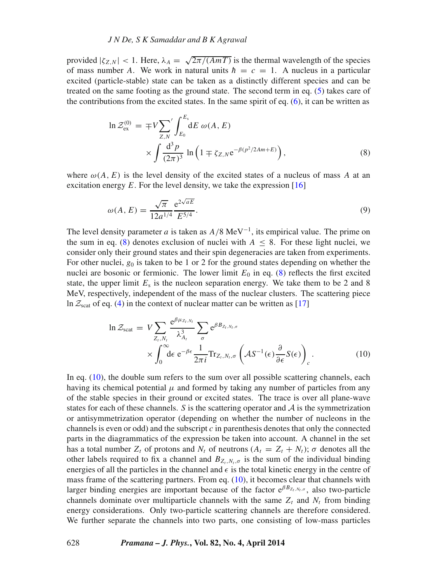provided  $|\zeta_{Z,N}| < 1$ . Here,  $\lambda_A = \sqrt{2\pi/(AmT)}$  is the thermal wavelength of the species of mass number A. We work in natural units  $\hbar = c = 1$ . A nucleus in a particular excited (particle-stable) state can be taken as a distinctly different species and can be treated on the same footing as the ground state. The second term in eq. [\(5\)](#page-2-0) takes care of the contributions from the excited states. In the same spirit of eq.  $(6)$ , it can be written as

<span id="page-3-0"></span>
$$
\ln \mathcal{Z}_{\text{ex}}^{(0)} = \mp V \sum_{Z,N} \int_{E_0}^{E_s} dE \omega(A, E)
$$

$$
\times \int \frac{d^3 p}{(2\pi)^3} \ln \left( 1 \mp \zeta_{Z,N} e^{-\beta (p^2/2Am+E)} \right), \tag{8}
$$

where  $\omega(A, E)$  is the level density of the excited states of a nucleus of mass A at an excitation energy  $E$ . For the level density, we take the expression [\[16\]](#page-10-14)

<span id="page-3-2"></span>
$$
\omega(A, E) = \frac{\sqrt{\pi}}{12a^{1/4}} \frac{e^{2\sqrt{aE}}}{E^{5/4}}.
$$
\n(9)

The level density parameter a is taken as  $A/8 \text{ MeV}^{-1}$ , its empirical value. The prime on the sum in eq. [\(8\)](#page-3-0) denotes exclusion of nuclei with  $A \leq 8$ . For these light nuclei, we consider only their ground states and their spin degeneracies are taken from experiments. For other nuclei,  $g_0$  is taken to be 1 or 2 for the ground states depending on whether the nuclei are bosonic or fermionic. The lower limit  $E_0$  in eq. [\(8\)](#page-3-0) reflects the first excited state, the upper limit  $E_s$  is the nucleon separation energy. We take them to be 2 and 8 MeV, respectively, independent of the mass of the nuclear clusters. The scattering piece ln  $\mathcal{Z}_{\text{scat}}$  of eq. [\(4\)](#page-2-2) in the context of nuclear matter can be written as [\[17\]](#page-10-15)

<span id="page-3-1"></span>
$$
\ln \mathcal{Z}_{scat} = V \sum_{Z_t, N_t} \frac{e^{\beta \mu_{Z_t, N_t}}}{\lambda_{A_t}^3} \sum_{\sigma} e^{\beta B_{Z_t, N_t, \sigma}} \times \int_0^\infty d\epsilon \ e^{-\beta \epsilon} \frac{1}{2\pi i} \text{Tr}_{Z_t, N_t, \sigma} \left( \mathcal{A} S^{-1}(\epsilon) \frac{\partial}{\partial \epsilon} S(\epsilon) \right)_c.
$$
 (10)

In eq. [\(10\)](#page-3-1), the double sum refers to the sum over all possible scattering channels, each having its chemical potential  $\mu$  and formed by taking any number of particles from any of the stable species in their ground or excited states. The trace is over all plane-wave states for each of these channels. S is the scattering operator and  $A$  is the symmetrization or antisymmetrization operator (depending on whether the number of nucleons in the channels is even or odd) and the subscript  $c$  in parenthesis denotes that only the connected parts in the diagrammatics of the expression be taken into account. A channel in the set has a total number  $Z_t$  of protons and  $N_t$  of neutrons  $(A_t = Z_t + N_t)$ ;  $\sigma$  denotes all the other labels required to fix a channel and  $B_{Z_t,N_t,\sigma}$  is the sum of the individual binding energies of all the particles in the channel and  $\epsilon$  is the total kinetic energy in the centre of mass frame of the scattering partners. From eq. [\(10\)](#page-3-1), it becomes clear that channels with larger binding energies are important because of the factor  $e^{\beta B_{Z_t, N_t, \sigma}}$ , also two-particle channels dominate over multiparticle channels with the same  $Z_t$  and  $N_t$  from binding energy considerations. Only two-particle scattering channels are therefore considered. We further separate the channels into two parts, one consisting of low-mass particles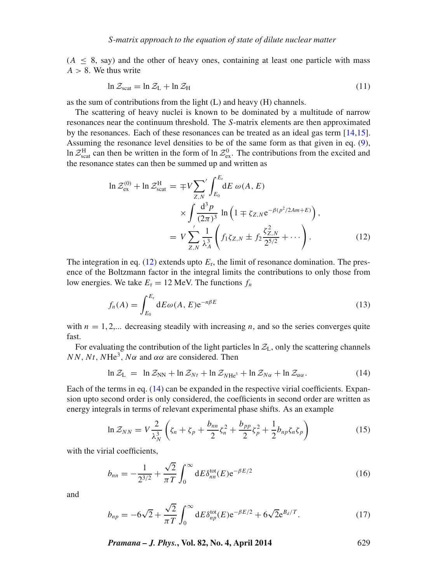$(A \leq 8$ , say) and the other of heavy ones, containing at least one particle with mass  $A > 8$ . We thus write

$$
\ln \mathcal{Z}_{\text{scat}} = \ln \mathcal{Z}_{\text{L}} + \ln \mathcal{Z}_{\text{H}}
$$
\n(11)

as the sum of contributions from the light (L) and heavy (H) channels.

The scattering of heavy nuclei is known to be dominated by a multitude of narrow resonances near the continuum threshold. The S-matrix elements are then approximated by the resonances. Each of these resonances can be treated as an ideal gas term [\[14,](#page-10-12)[15\]](#page-10-13). Assuming the resonance level densities to be of the same form as that given in eq. [\(9\)](#page-3-2), ln  $Z_{\text{scat}}^{\text{H}}$  can then be written in the form of ln  $Z_{\text{ex}}^0$ . The contributions from the excited and the resonance states can then be summed up and written as

<span id="page-4-0"></span>
$$
\ln \mathcal{Z}_{\text{ex}}^{(0)} + \ln \mathcal{Z}_{\text{scat}}^{H} = \mp V \sum_{Z,N} \int_{E_0}^{E_r} dE \, \omega(A, E)
$$

$$
\times \int \frac{d^3 p}{(2\pi)^3} \ln \left( 1 \mp \zeta_{Z,N} e^{-\beta (p^2/2Am+E)} \right),
$$

$$
= V \sum_{Z,N} \frac{1}{\lambda_A^3} \left( f_1 \zeta_{Z,N} \pm f_2 \frac{\zeta_{Z,N}^2}{2^{5/2}} + \cdots \right). \tag{12}
$$

The integration in eq. [\(12\)](#page-4-0) extends upto  $E_r$ , the limit of resonance domination. The presence of the Boltzmann factor in the integral limits the contributions to only those from low energies. We take  $E_r = 12$  MeV. The functions  $f_n$ 

$$
f_n(A) = \int_{E_0}^{E_r} dE \omega(A, E) e^{-n\beta E}
$$
 (13)

with  $n = 1, 2,...$  decreasing steadily with increasing n, and so the series converges quite fast.

For evaluating the contribution of the light particles  $\ln Z_L$ , only the scattering channels NN, Nt, NHe<sup>3</sup>, N $\alpha$  and  $\alpha\alpha$  are considered. Then

<span id="page-4-1"></span>
$$
\ln \mathcal{Z}_{\rm L} = \ln \mathcal{Z}_{\rm NN} + \ln \mathcal{Z}_{Nt} + \ln \mathcal{Z}_{N\rm He^3} + \ln \mathcal{Z}_{N\alpha} + \ln \mathcal{Z}_{\alpha\alpha}.
$$
 (14)

Each of the terms in eq. [\(14\)](#page-4-1) can be expanded in the respective virial coefficients. Expansion upto second order is only considered, the coefficients in second order are written as energy integrals in terms of relevant experimental phase shifts. As an example

$$
\ln \mathcal{Z}_{NN} = V \frac{2}{\lambda_N^3} \left( \zeta_n + \zeta_p + \frac{b_{nn}}{2} \zeta_n^2 + \frac{b_{pp}}{2} \zeta_p^2 + \frac{1}{2} b_{np} \zeta_n \zeta_p \right) \tag{15}
$$

with the virial coefficients,

$$
b_{nn} = -\frac{1}{2^{3/2}} + \frac{\sqrt{2}}{\pi T} \int_0^\infty dE \delta_{nn}^{\text{tot}}(E) e^{-\beta E/2}
$$
 (16)

<span id="page-4-2"></span>and

$$
b_{np} = -6\sqrt{2} + \frac{\sqrt{2}}{\pi T} \int_0^\infty dE \delta_{np}^{\text{tot}}(E) e^{-\beta E/2} + 6\sqrt{2} e^{B_d/T}.
$$
 (17)

*Pramana – J. Phys.***, Vol. 82, No. 4, April 2014** 629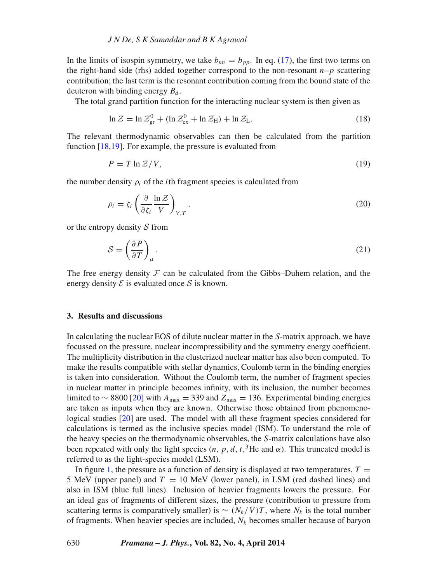In the limits of isospin symmetry, we take  $b_{nn} = b_{nn}$ . In eq. [\(17\)](#page-4-2), the first two terms on the right-hand side (rhs) added together correspond to the non-resonant  $n-p$  scattering contribution; the last term is the resonant contribution coming from the bound state of the deuteron with binding energy  $B_d$ .

The total grand partition function for the interacting nuclear system is then given as

$$
\ln \mathcal{Z} = \ln \mathcal{Z}_{\text{gr}}^0 + (\ln \mathcal{Z}_{\text{ex}}^0 + \ln \mathcal{Z}_{\text{H}}) + \ln \mathcal{Z}_{\text{L}}.
$$
\n(18)

The relevant thermodynamic observables can then be calculated from the partition function [\[18,](#page-10-16)[19\]](#page-10-17). For example, the pressure is evaluated from

$$
P = T \ln \mathcal{Z}/V,\tag{19}
$$

the number density  $\rho_i$  of the *i*th fragment species is calculated from

$$
\rho_i = \zeta_i \left( \frac{\partial}{\partial \zeta_i} \frac{\ln \mathcal{Z}}{V} \right)_{V,T},\tag{20}
$$

or the entropy density *S* from

$$
S = \left(\frac{\partial P}{\partial T}\right)_{\mu}.\tag{21}
$$

The free energy density  $F$  can be calculated from the Gibbs–Duhem relation, and the energy density  $\mathcal E$  is evaluated once  $\mathcal S$  is known.

#### <span id="page-5-0"></span>**3. Results and discussions**

In calculating the nuclear EOS of dilute nuclear matter in the S-matrix approach, we have focussed on the pressure, nuclear incompressibility and the symmetry energy coefficient. The multiplicity distribution in the clusterized nuclear matter has also been computed. To make the results compatible with stellar dynamics, Coulomb term in the binding energies is taken into consideration. Without the Coulomb term, the number of fragment species in nuclear matter in principle becomes infinity, with its inclusion, the number becomes limited to ~ 8800 [\[20\]](#page-10-18) with  $A_{\text{max}} = 339$  and  $Z_{\text{max}} = 136$ . Experimental binding energies are taken as inputs when they are known. Otherwise those obtained from phenomenological studies [\[20\]](#page-10-18) are used. The model with all these fragment species considered for calculations is termed as the inclusive species model (ISM). To understand the role of the heavy species on the thermodynamic observables, the S-matrix calculations have also been repeated with only the light species  $(n, p, d, t, 3H$ e and  $\alpha)$ . This truncated model is referred to as the light-species model (LSM).

In figure [1,](#page-6-0) the pressure as a function of density is displayed at two temperatures,  $T =$ 5 MeV (upper panel) and  $T = 10$  MeV (lower panel), in LSM (red dashed lines) and also in ISM (blue full lines). Inclusion of heavier fragments lowers the pressure. For an ideal gas of fragments of different sizes, the pressure (contribution to pressure from scattering terms is comparatively smaller) is  $\sim (N_k/V)T$ , where  $N_k$  is the total number of fragments. When heavier species are included,  $N_k$  becomes smaller because of baryon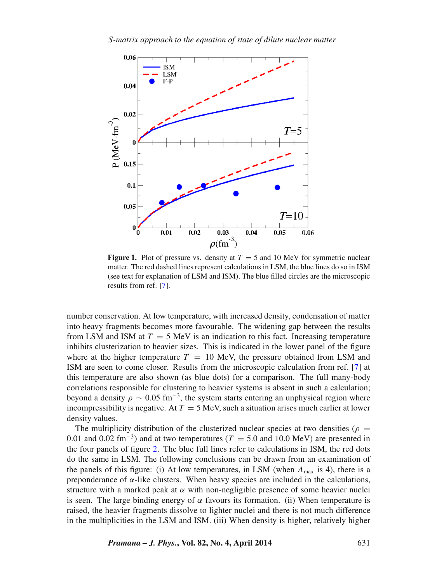<span id="page-6-0"></span>

**Figure 1.** Plot of pressure vs. density at  $T = 5$  and 10 MeV for symmetric nuclear matter. The red dashed lines represent calculations in LSM, the blue lines do so in ISM (see text for explanation of LSM and ISM). The blue filled circles are the microscopic results from ref. [\[7\]](#page-10-5).

number conservation. At low temperature, with increased density, condensation of matter into heavy fragments becomes more favourable. The widening gap between the results from LSM and ISM at  $T = 5$  MeV is an indication to this fact. Increasing temperature inhibits clusterization to heavier sizes. This is indicated in the lower panel of the figure where at the higher temperature  $T = 10$  MeV, the pressure obtained from LSM and ISM are seen to come closer. Results from the microscopic calculation from ref. [\[7\]](#page-10-5) at this temperature are also shown (as blue dots) for a comparison. The full many-body correlations responsible for clustering to heavier systems is absent in such a calculation; beyond a density  $\rho \sim 0.05$  fm<sup>-3</sup>, the system starts entering an unphysical region where incompressibility is negative. At  $T = 5$  MeV, such a situation arises much earlier at lower density values.

The multiplicity distribution of the clusterized nuclear species at two densities ( $\rho =$ 0.01 and 0.02 fm<sup>-3</sup>) and at two temperatures ( $T = 5.0$  and 10.0 MeV) are presented in the four panels of figure [2.](#page-7-0) The blue full lines refer to calculations in ISM, the red dots do the same in LSM. The following conclusions can be drawn from an examination of the panels of this figure: (i) At low temperatures, in LSM (when  $A_{\text{max}}$  is 4), there is a preponderance of α-like clusters. When heavy species are included in the calculations, structure with a marked peak at  $\alpha$  with non-negligible presence of some heavier nuclei is seen. The large binding energy of  $\alpha$  favours its formation. (ii) When temperature is raised, the heavier fragments dissolve to lighter nuclei and there is not much difference in the multiplicities in the LSM and ISM. (iii) When density is higher, relatively higher

*Pramana – J. Phys.***, Vol. 82, No. 4, April 2014** 631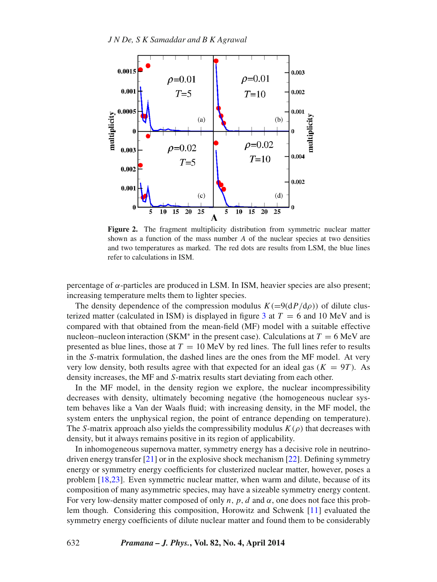<span id="page-7-0"></span>

Figure 2. The fragment multiplicity distribution from symmetric nuclear matter shown as a function of the mass number  $A$  of the nuclear species at two densities and two temperatures as marked. The red dots are results from LSM, the blue lines refer to calculations in ISM.

percentage of  $\alpha$ -particles are produced in LSM. In ISM, heavier species are also present; increasing temperature melts them to lighter species.

The density dependence of the compression modulus  $K(=9(dP/d\rho))$  of dilute clus-terized matter (calculated in ISM) is displayed in figure [3](#page-8-0) at  $T = 6$  and 10 MeV and is compared with that obtained from the mean-field (MF) model with a suitable effective nucleon–nucleon interaction (SKM<sup>\*</sup> in the present case). Calculations at  $T = 6$  MeV are presented as blue lines, those at  $T = 10$  MeV by red lines. The full lines refer to results in the S-matrix formulation, the dashed lines are the ones from the MF model. At very very low density, both results agree with that expected for an ideal gas ( $K = 9T$ ). As density increases, the MF and S-matrix results start deviating from each other.

In the MF model, in the density region we explore, the nuclear incompressibility decreases with density, ultimately becoming negative (the homogeneous nuclear system behaves like a Van der Waals fluid; with increasing density, in the MF model, the system enters the unphysical region, the point of entrance depending on temperature). The S-matrix approach also yields the compressibility modulus  $K(\rho)$  that decreases with density, but it always remains positive in its region of applicability.

In inhomogeneous supernova matter, symmetry energy has a decisive role in neutrinodriven energy transfer [\[21\]](#page-10-19) or in the explosive shock mechanism [\[22\]](#page-10-20). Defining symmetry energy or symmetry energy coefficients for clusterized nuclear matter, however, poses a problem [\[18,](#page-10-16)[23\]](#page-10-21). Even symmetric nuclear matter, when warm and dilute, because of its composition of many asymmetric species, may have a sizeable symmetry energy content. For very low-density matter composed of only n, p, d and  $\alpha$ , one does not face this problem though. Considering this composition, Horowitz and Schwenk [\[11\]](#page-10-9) evaluated the symmetry energy coefficients of dilute nuclear matter and found them to be considerably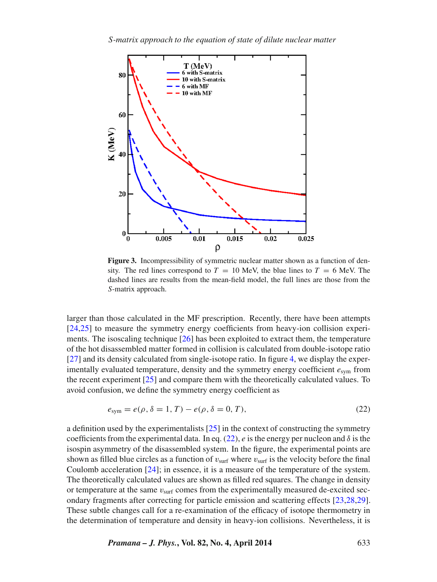<span id="page-8-0"></span>

**Figure 3.** Incompressibility of symmetric nuclear matter shown as a function of density. The red lines correspond to  $T = 10$  MeV, the blue lines to  $T = 6$  MeV. The dashed lines are results from the mean-field model, the full lines are those from the S-matrix approach.

larger than those calculated in the MF prescription. Recently, there have been attempts [\[24](#page-10-22)[,25\]](#page-10-23) to measure the symmetry energy coefficients from heavy-ion collision experiments. The isoscaling technique [\[26\]](#page-10-24) has been exploited to extract them, the temperature of the hot disassembled matter formed in collision is calculated from double-isotope ratio [\[27\]](#page-10-25) and its density calculated from single-isotope ratio. In figure [4,](#page-9-1) we display the experimentally evaluated temperature, density and the symmetry energy coefficient  $e_{sym}$  from the recent experiment [\[25\]](#page-10-23) and compare them with the theoretically calculated values. To avoid confusion, we define the symmetry energy coefficient as

<span id="page-8-1"></span>
$$
e_{\text{sym}} = e(\rho, \delta = 1, T) - e(\rho, \delta = 0, T), \tag{22}
$$

a definition used by the experimentalists  $[25]$  in the context of constructing the symmetry coefficients from the experimental data. In eq. [\(22\)](#page-8-1), e is the energy per nucleon and  $\delta$  is the isospin asymmetry of the disassembled system. In the figure, the experimental points are shown as filled blue circles as a function of  $v_{\text{surf}}$  where  $v_{\text{surf}}$  is the velocity before the final Coulomb acceleration [\[24\]](#page-10-22); in essence, it is a measure of the temperature of the system. The theoretically calculated values are shown as filled red squares. The change in density or temperature at the same  $v_{\text{surf}}$  comes from the experimentally measured de-excited secondary fragments after correcting for particle emission and scattering effects [\[23](#page-10-26)[,28](#page-10-27)[,29\]](#page-10-21). These subtle changes call for a re-examination of the efficacy of isotope thermometry in the determination of temperature and density in heavy-ion collisions. Nevertheless, it is

*Pramana – J. Phys.***, Vol. 82, No. 4, April 2014** 633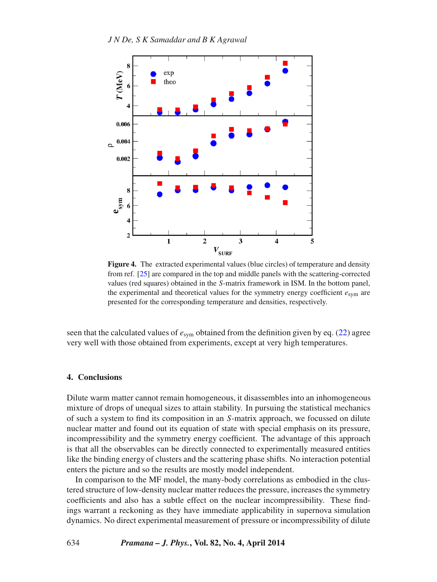<span id="page-9-1"></span>

**Figure 4.** The extracted experimental values (blue circles) of temperature and density from ref. [\[25\]](#page-10-23) are compared in the top and middle panels with the scattering-corrected values (red squares) obtained in the S-matrix framework in ISM. In the bottom panel, the experimental and theoretical values for the symmetry energy coefficient  $e_{sym}$  are presented for the corresponding temperature and densities, respectively.

seen that the calculated values of  $e_{sym}$  obtained from the definition given by eq. [\(22\)](#page-8-1) agree very well with those obtained from experiments, except at very high temperatures.

## <span id="page-9-0"></span>**4. Conclusions**

Dilute warm matter cannot remain homogeneous, it disassembles into an inhomogeneous mixture of drops of unequal sizes to attain stability. In pursuing the statistical mechanics of such a system to find its composition in an S-matrix approach, we focussed on dilute nuclear matter and found out its equation of state with special emphasis on its pressure, incompressibility and the symmetry energy coefficient. The advantage of this approach is that all the observables can be directly connected to experimentally measured entities like the binding energy of clusters and the scattering phase shifts. No interaction potential enters the picture and so the results are mostly model independent.

In comparison to the MF model, the many-body correlations as embodied in the clustered structure of low-density nuclear matter reduces the pressure, increases the symmetry coefficients and also has a subtle effect on the nuclear incompressibility. These findings warrant a reckoning as they have immediate applicability in supernova simulation dynamics. No direct experimental measurement of pressure or incompressibility of dilute